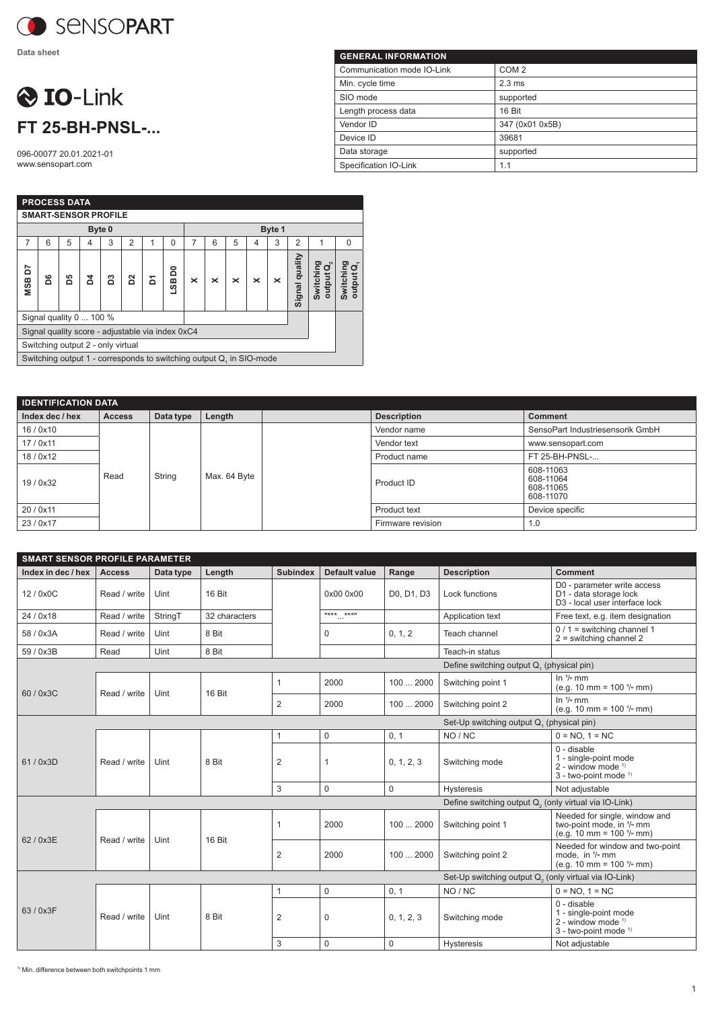

**Data sheet**

## O IO-Link **FT 25-BH-PNSL-...**

096-00077 20.01.2021-01 www.sensopart.com

| <b>GENERAL INFORMATION</b> |                  |  |  |  |  |  |  |  |
|----------------------------|------------------|--|--|--|--|--|--|--|
| Communication mode IO-Link | COM <sub>2</sub> |  |  |  |  |  |  |  |
| Min. cycle time            | $2.3 \text{ ms}$ |  |  |  |  |  |  |  |
| SIO mode                   | supported        |  |  |  |  |  |  |  |
| Length process data        | 16 Bit           |  |  |  |  |  |  |  |
| Vendor ID                  | 347 (0x01 0x5B)  |  |  |  |  |  |  |  |
| Device ID                  | 39681            |  |  |  |  |  |  |  |
| Data storage               | supported        |  |  |  |  |  |  |  |
| Specification IO-Link      | 1.1              |  |  |  |  |  |  |  |

|                             | <b>PROCESS DATA</b>                              |                                                                     |   |   |   |   |                    |          |   |   |   |   |                |                                              |                          |
|-----------------------------|--------------------------------------------------|---------------------------------------------------------------------|---|---|---|---|--------------------|----------|---|---|---|---|----------------|----------------------------------------------|--------------------------|
| <b>SMART-SENSOR PROFILE</b> |                                                  |                                                                     |   |   |   |   |                    |          |   |   |   |   |                |                                              |                          |
| Byte 0                      |                                                  |                                                                     |   |   |   |   | Byte 1             |          |   |   |   |   |                |                                              |                          |
| 7                           | 6                                                | 5                                                                   | 4 | 3 | 2 |   | $\Omega$           | 7        | 6 | 5 | 4 | 3 | 2              | 1                                            | $\Omega$                 |
| NSB D7                      | ਠ័                                               | ဒိ                                                                  | ă | ຌ | ε | Σ | ដ<br>$\frac{8}{3}$ | $\times$ | × | × | × | × | Signal quality | Switching<br>$\mathbf{G}^{\prime}$<br>output | Switching<br>o<br>output |
|                             | Signal quality 0  100 %                          |                                                                     |   |   |   |   |                    |          |   |   |   |   |                |                                              |                          |
|                             | Signal quality score - adjustable via index 0xC4 |                                                                     |   |   |   |   |                    |          |   |   |   |   |                |                                              |                          |
|                             | Switching output 2 - only virtual                |                                                                     |   |   |   |   |                    |          |   |   |   |   |                |                                              |                          |
|                             |                                                  | Switching output 1 - corresponds to switching output Q, in SIO-mode |   |   |   |   |                    |          |   |   |   |   |                |                                              |                          |

| <b>IDENTIFICATION DATA</b> |               |           |              |  |                    |                                                  |  |  |
|----------------------------|---------------|-----------|--------------|--|--------------------|--------------------------------------------------|--|--|
| Index dec / hex            | <b>Access</b> | Data type | Length       |  | <b>Description</b> | <b>Comment</b>                                   |  |  |
| 16/0x10                    |               |           | Max. 64 Byte |  | Vendor name        | SensoPart Industriesensorik GmbH                 |  |  |
| 17/0x11                    |               | String    |              |  | Vendor text        | www.sensopart.com                                |  |  |
| 18/0x12                    |               |           |              |  | Product name       | FT 25-BH-PNSL-                                   |  |  |
| 19/0x32                    | Read          |           |              |  | Product ID         | 608-11063<br>608-11064<br>608-11065<br>608-11070 |  |  |
| 20/0x11                    |               |           |              |  | Product text       | Device specific                                  |  |  |
| 23/0x17                    |               |           |              |  | Firmware revision  | 1.0                                              |  |  |

| <b>SMART SENSOR PROFILE PARAMETER</b>                             |               |           |               |                 |                      |             |                                                                   |                                                                                                                 |  |
|-------------------------------------------------------------------|---------------|-----------|---------------|-----------------|----------------------|-------------|-------------------------------------------------------------------|-----------------------------------------------------------------------------------------------------------------|--|
| Index in dec / hex                                                | <b>Access</b> | Data type | Length        | <b>Subindex</b> | <b>Default value</b> | Range       | <b>Description</b>                                                | <b>Comment</b>                                                                                                  |  |
| 12/0x0C                                                           | Read / write  | Uint      | 16 Bit        |                 | 0x00 0x00            | D0, D1, D3  | Lock functions                                                    | D0 - parameter write access<br>D1 - data storage lock<br>D3 - local user interface lock                         |  |
| 24 / 0x18                                                         | Read / write  | StringT   | 32 characters |                 | **** ****            |             | Application text                                                  | Free text, e.g. item designation                                                                                |  |
| 58 / 0x3A                                                         | Read / write  | Uint      | 8 Bit         |                 | 0                    | 0, 1, 2     | Teach channel                                                     | $0/1$ = switching channel 1<br>$2 =$ switching channel 2                                                        |  |
| 59 / 0x3B                                                         | Read          | Uint      | 8 Bit         |                 |                      |             | Teach-in status                                                   |                                                                                                                 |  |
|                                                                   |               |           |               |                 |                      |             | Define switching output Q, (physical pin)                         |                                                                                                                 |  |
|                                                                   | Read / write  | Uint      | 16 Bit        | $\mathbf{1}$    | 2000                 | 100  2000   | Switching point 1                                                 | In $\frac{1}{n}$ mm<br>(e.g. 10 mm = $100$ $\frac{1}{2}$ mm)                                                    |  |
| 60 / 0x3C                                                         |               |           |               | $\overline{2}$  | 2000                 | 1002000     | Switching point 2                                                 | In $1/n$ mm<br>(e.g. 10 mm = $100\frac{1}{e}$ mm)                                                               |  |
|                                                                   |               |           |               |                 |                      |             | Set-Up switching output Q. (physical pin)                         |                                                                                                                 |  |
|                                                                   | Read / write  | Uint      | 8 Bit         | $\mathbf{1}$    | $\mathbf 0$          | 0, 1        | NO / NC                                                           | $0 = NO. 1 = NC$                                                                                                |  |
| 61/0x3D                                                           |               |           |               | 2               | 1                    | 0, 1, 2, 3  | Switching mode                                                    | 0 - disable<br>1 - single-point mode<br>$2$ - window mode $1$<br>3 - two-point mode <sup>1)</sup>               |  |
|                                                                   |               |           |               | 3               | $\mathbf 0$          | $\mathbf 0$ | <b>Hysteresis</b>                                                 | Not adiustable                                                                                                  |  |
|                                                                   |               |           |               |                 |                      |             | Define switching output Q <sub>2</sub> (only virtual via IO-Link) |                                                                                                                 |  |
| 62 / 0x3E                                                         | Read / write  | Uint      | 16 Bit        | $\mathbf 1$     | 2000                 | 1002000     | Switching point 1                                                 | Needed for single, window and<br>two-point mode, in 1/ <sub>°</sub> mm<br>(e.g. 10 mm = $100$ $\frac{1}{2}$ mm) |  |
|                                                                   |               |           |               | 2               | 2000                 | 1002000     | Switching point 2                                                 | Needed for window and two-point<br>mode. in 1/ <sub>2</sub> mm<br>(e.g. 10 mm = $100 \frac{1}{n}$ mm)           |  |
| Set-Up switching output Q <sub>2</sub> (only virtual via IO-Link) |               |           |               |                 |                      |             |                                                                   |                                                                                                                 |  |
| 63 / 0x3F                                                         |               | Uint      |               | $\mathbf 1$     | $\mathbf 0$          | 0, 1        | NO / NC                                                           | $0 = NO, 1 = NC$                                                                                                |  |
|                                                                   | Read / write  |           | 8 Bit         | $\overline{2}$  | 0                    | 0, 1, 2, 3  | Switching mode                                                    | $0 -$ disable<br>1 - single-point mode<br>$2$ - window mode $1$<br>3 - two-point mode 1)                        |  |
|                                                                   |               |           |               | 3               | 0                    | $\mathbf 0$ | Hysteresis                                                        | Not adjustable                                                                                                  |  |